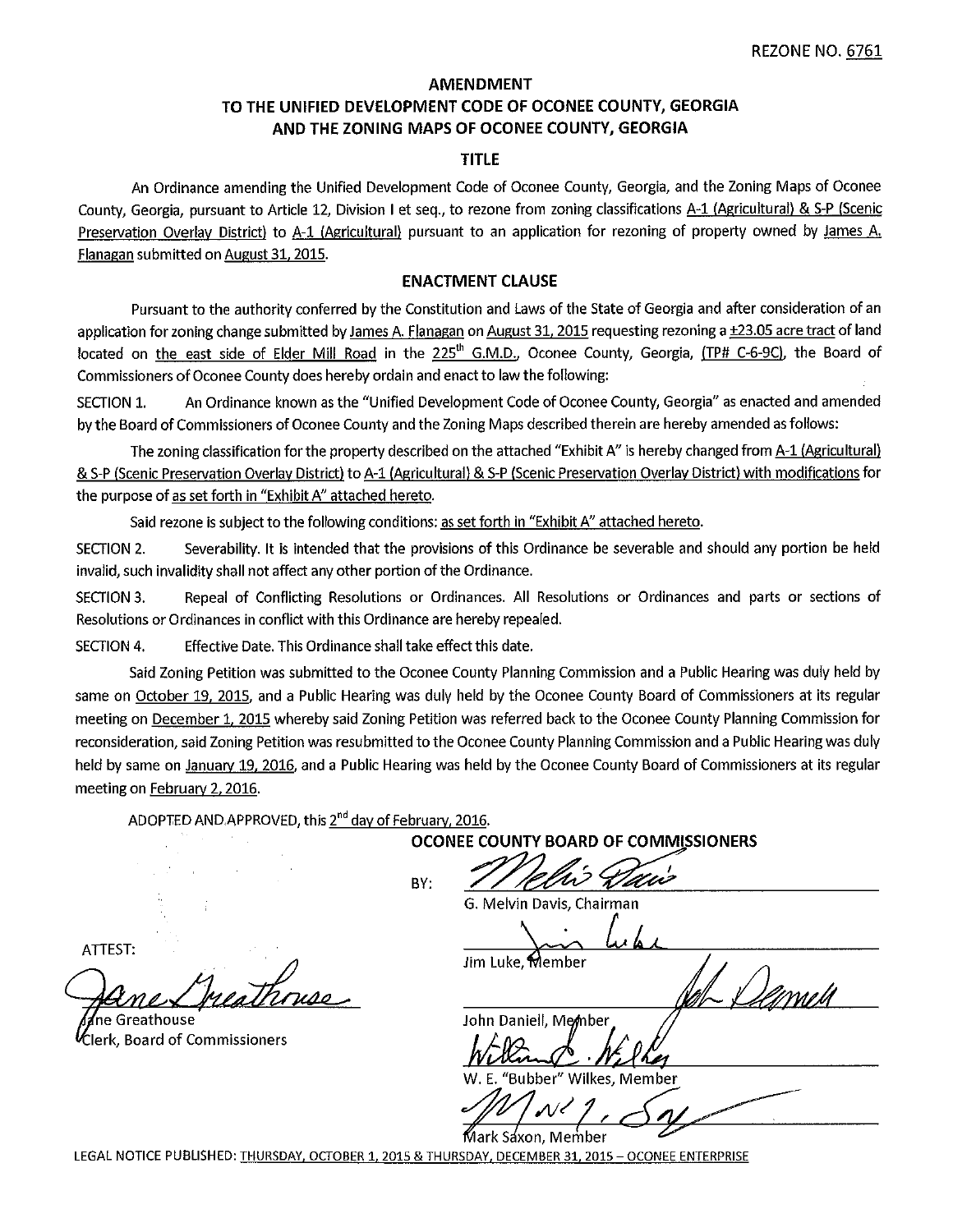# **AMENDMENT** TO THE UNIFIED DEVELOPMENT CODE OF OCONEE COUNTY, GEORGIA AND THE ZONING MAPS OF OCONEE COUNTY, GEORGIA

#### **TITLE**

An Ordinance amending the Unified Development Code of Oconee County, Georgia, and the Zoning Maps of Oconee County, Georgia, pursuant to Article 12, Division I et seg., to rezone from zoning classifications A-1 (Agricultural) & S-P (Scenic Preservation Overlay District) to A-1 (Agricultural) pursuant to an application for rezoning of property owned by James A. Flanagan submitted on August 31, 2015.

#### **ENACTMENT CLAUSE**

Pursuant to the authority conferred by the Constitution and Laws of the State of Georgia and after consideration of an application for zoning change submitted by James A. Flanagan on August 31, 2015 requesting rezoning a ±23.05 acre tract of land located on the east side of Elder Mill Road in the 225<sup>th</sup> G.M.D., Oconee County, Georgia, (TP# C-6-9C), the Board of Commissioners of Oconee County does hereby ordain and enact to law the following:

An Ordinance known as the "Unified Development Code of Oconee County, Georgia" as enacted and amended SECTION 1. by the Board of Commissioners of Oconee County and the Zoning Maps described therein are hereby amended as follows:

The zoning classification for the property described on the attached "Exhibit A" is hereby changed from A-1 (Agricultural) & S-P (Scenic Preservation Overlay District) to A-1 (Agricultural) & S-P (Scenic Preservation Overlay District) with modifications for the purpose of as set forth in "Exhibit A" attached hereto.

Said rezone is subject to the following conditions: as set forth in "Exhibit A" attached hereto.

Severability. It is intended that the provisions of this Ordinance be severable and should any portion be held SECTION 2. invalid, such invalidity shall not affect any other portion of the Ordinance.

SECTION 3. Repeal of Conflicting Resolutions or Ordinances. All Resolutions or Ordinances and parts or sections of Resolutions or Ordinances in conflict with this Ordinance are hereby repealed.

**SECTION 4.** Effective Date. This Ordinance shall take effect this date.

Said Zoning Petition was submitted to the Oconee County Planning Commission and a Public Hearing was duly held by same on October 19, 2015, and a Public Hearing was duly held by the Oconee County Board of Commissioners at its regular meeting on December 1, 2015 whereby said Zoning Petition was referred back to the Oconee County Planning Commission for reconsideration, said Zoning Petition was resubmitted to the Oconee County Planning Commission and a Public Hearing was duly held by same on lanuary 19, 2016, and a Public Hearing was held by the Oconee County Board of Commissioners at its regular meeting on February 2, 2016.

ADOPTED AND APPROVED, this 2<sup>nd</sup> day of February, 2016.

OCONEE COUNTY BOARD OF COMMISSIONERS

BY:

Û

G. Melvin Davis, Chairman

lim Luke, Member

John Daniell, Member

"Bubber" Wilkes, Member

Member

LEGAL NOTICE PUBLISHED: THURSDAY, OCTOBER 1, 2015 & THURSDAY, DECEMBER 31, 2015 - OCONEE ENTERPRISE

ATTEST:

าe Greathouse

**Clerk. Board of Commissioners**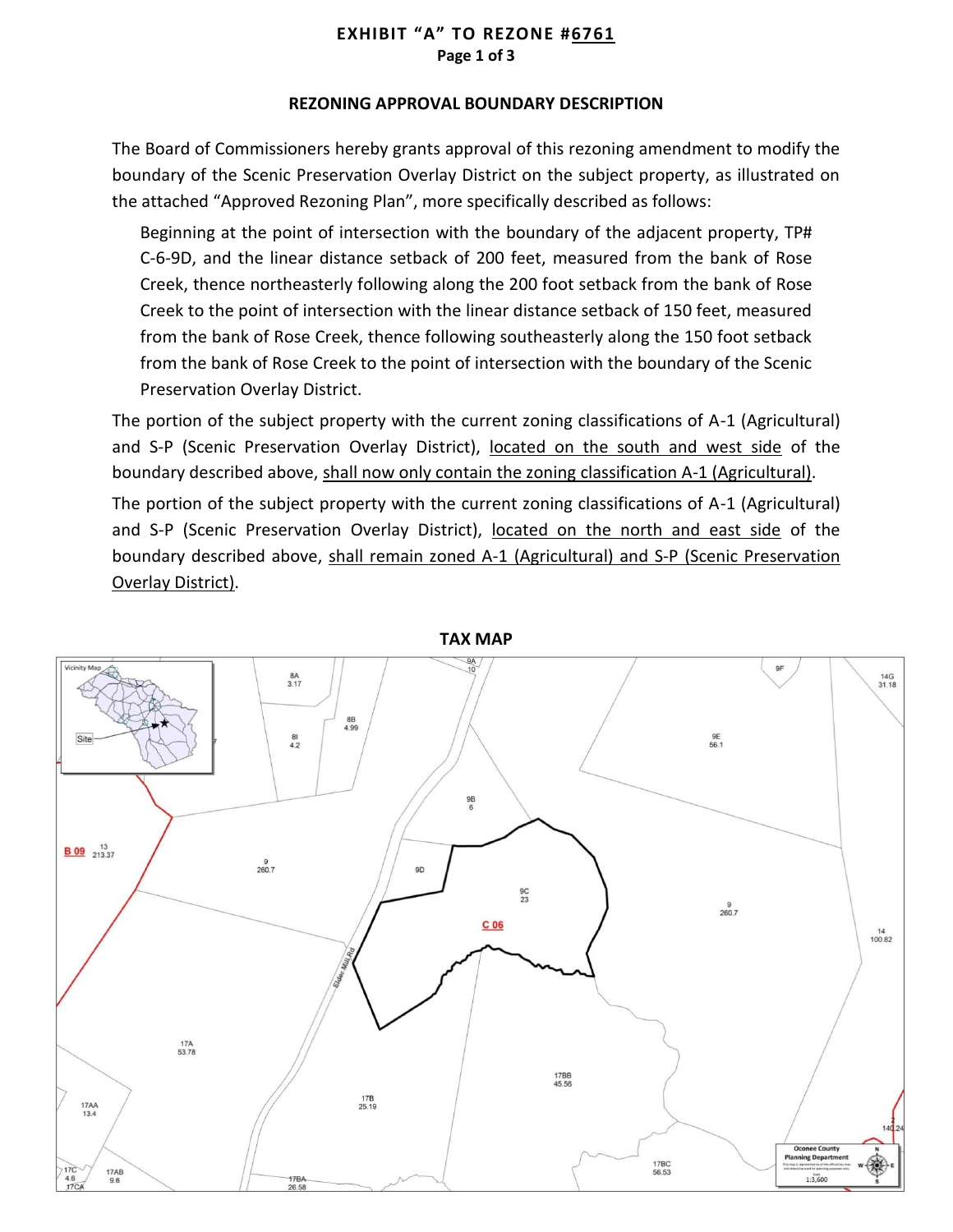# **EXHIBIT "A" TO REZONE #6761 Page 1 of 3**

## **REZONING APPROVAL BOUNDARY DESCRIPTION**

The Board of Commissioners hereby grants approval of this rezoning amendment to modify the boundary of the Scenic Preservation Overlay District on the subject property, as illustrated on the attached "Approved Rezoning Plan", more specifically described as follows:

Beginning at the point of intersection with the boundary of the adjacent property, TP# C-6-9D, and the linear distance setback of 200 feet, measured from the bank of Rose Creek, thence northeasterly following along the 200 foot setback from the bank of Rose Creek to the point of intersection with the linear distance setback of 150 feet, measured from the bank of Rose Creek, thence following southeasterly along the 150 foot setback from the bank of Rose Creek to the point of intersection with the boundary of the Scenic Preservation Overlay District.

The portion of the subject property with the current zoning classifications of A-1 (Agricultural) and S-P (Scenic Preservation Overlay District), located on the south and west side of the boundary described above, shall now only contain the zoning classification A-1 (Agricultural).

The portion of the subject property with the current zoning classifications of A-1 (Agricultural) and S-P (Scenic Preservation Overlay District), located on the north and east side of the boundary described above, shall remain zoned A-1 (Agricultural) and S-P (Scenic Preservation Overlay District).



**TAX MAP**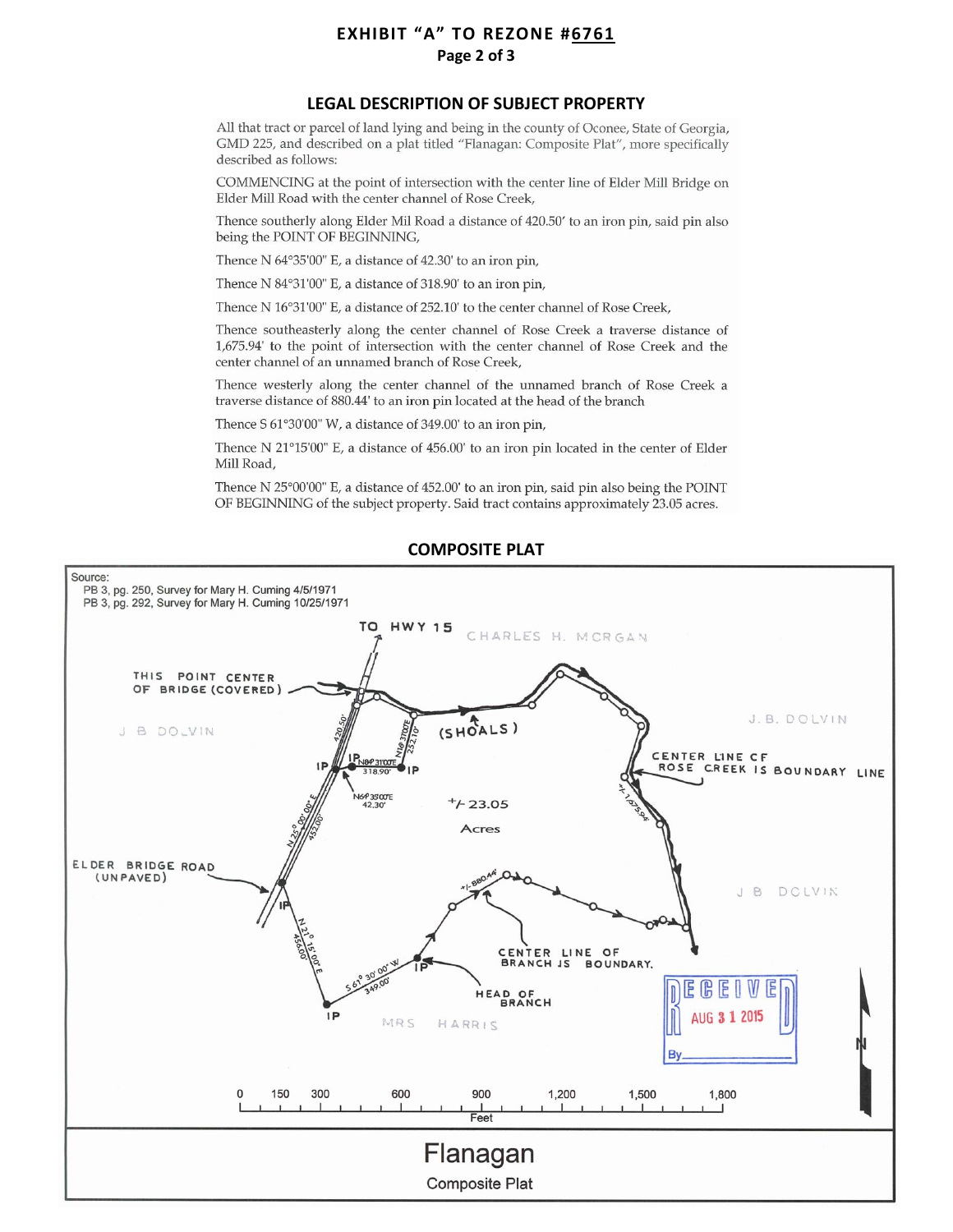# **EXHIBIT "A" TO REZONE #6761** Page 2 of 3

#### **LEGAL DESCRIPTION OF SUBJECT PROPERTY**

All that tract or parcel of land lying and being in the county of Oconee, State of Georgia, GMD 225, and described on a plat titled "Flanagan: Composite Plat", more specifically described as follows:

COMMENCING at the point of intersection with the center line of Elder Mill Bridge on Elder Mill Road with the center channel of Rose Creek,

Thence southerly along Elder Mil Road a distance of 420.50' to an iron pin, said pin also being the POINT OF BEGINNING,

Thence N 64°35'00" E, a distance of 42.30' to an iron pin,

Thence N 84°31'00" E, a distance of 318.90' to an iron pin,

Thence N 16°31'00" E, a distance of 252.10' to the center channel of Rose Creek,

Thence southeasterly along the center channel of Rose Creek a traverse distance of 1,675.94' to the point of intersection with the center channel of Rose Creek and the center channel of an unnamed branch of Rose Creek,

Thence westerly along the center channel of the unnamed branch of Rose Creek a traverse distance of 880.44' to an iron pin located at the head of the branch

Thence S 61°30'00" W, a distance of 349.00' to an iron pin,

Thence N 21°15'00" E, a distance of 456.00' to an iron pin located in the center of Elder Mill Road,

Thence N 25°00'00" E, a distance of 452.00' to an iron pin, said pin also being the POINT OF BEGINNING of the subject property. Said tract contains approximately 23.05 acres.



#### **COMPOSITE PLAT**